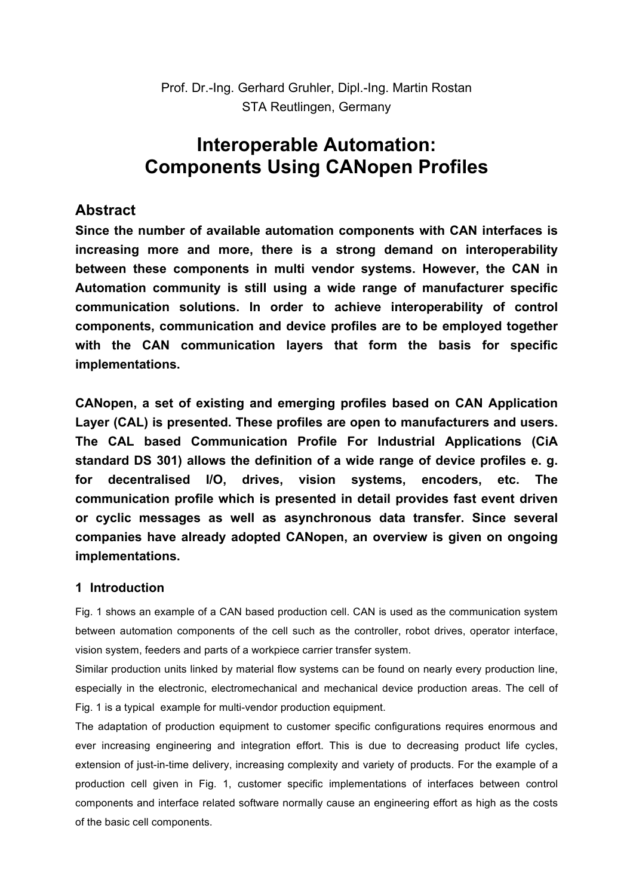Prof. Dr.-Ing. Gerhard Gruhler, Dipl.-Ing. Martin Rostan STA Reutlingen, Germany

# **Interoperable Automation: Components Using CANopen Profiles**

# **Abstract**

**Since the number of available automation components with CAN interfaces is increasing more and more, there is a strong demand on interoperability between these components in multi vendor systems. However, the CAN in Automation community is still using a wide range of manufacturer specific communication solutions. In order to achieve interoperability of control components, communication and device profiles are to be employed together with the CAN communication layers that form the basis for specific implementations.**

**CANopen, a set of existing and emerging profiles based on CAN Application Layer (CAL) is presented. These profiles are open to manufacturers and users. The CAL based Communication Profile For Industrial Applications (CiA standard DS 301) allows the definition of a wide range of device profiles e. g. for decentralised I/O, drives, vision systems, encoders, etc. The communication profile which is presented in detail provides fast event driven or cyclic messages as well as asynchronous data transfer. Since several companies have already adopted CANopen, an overview is given on ongoing implementations.**

# **1 Introduction**

Fig. 1 shows an example of a CAN based production cell. CAN is used as the communication system between automation components of the cell such as the controller, robot drives, operator interface, vision system, feeders and parts of a workpiece carrier transfer system.

Similar production units linked by material flow systems can be found on nearly every production line, especially in the electronic, electromechanical and mechanical device production areas. The cell of Fig. 1 is a typical example for multi-vendor production equipment.

The adaptation of production equipment to customer specific configurations requires enormous and ever increasing engineering and integration effort. This is due to decreasing product life cycles, extension of just-in-time delivery, increasing complexity and variety of products. For the example of a production cell given in Fig. 1, customer specific implementations of interfaces between control components and interface related software normally cause an engineering effort as high as the costs of the basic cell components.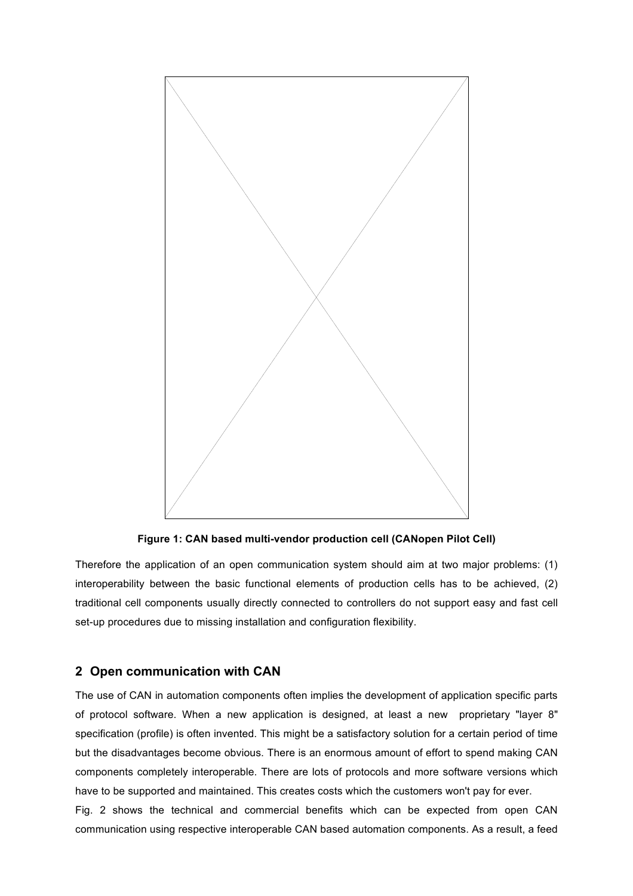

**Figure 1: CAN based multi-vendor production cell (CANopen Pilot Cell)**

Therefore the application of an open communication system should aim at two major problems: (1) interoperability between the basic functional elements of production cells has to be achieved, (2) traditional cell components usually directly connected to controllers do not support easy and fast cell set-up procedures due to missing installation and configuration flexibility.

#### **2 Open communication with CAN**

The use of CAN in automation components often implies the development of application specific parts of protocol software. When a new application is designed, at least a new proprietary "layer 8" specification (profile) is often invented. This might be a satisfactory solution for a certain period of time but the disadvantages become obvious. There is an enormous amount of effort to spend making CAN components completely interoperable. There are lots of protocols and more software versions which have to be supported and maintained. This creates costs which the customers won't pay for ever.

Fig. 2 shows the technical and commercial benefits which can be expected from open CAN communication using respective interoperable CAN based automation components. As a result, a feed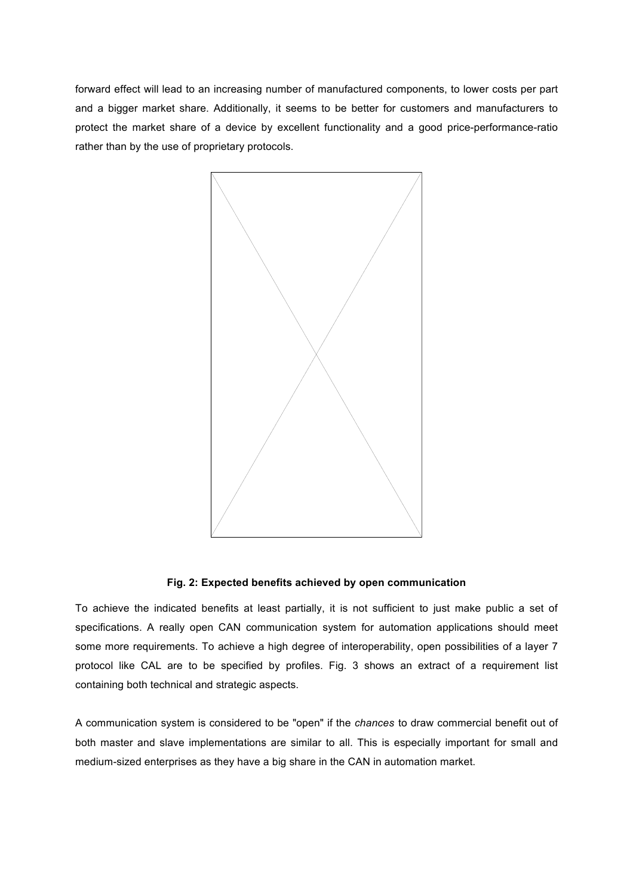forward effect will lead to an increasing number of manufactured components, to lower costs per part and a bigger market share. Additionally, it seems to be better for customers and manufacturers to protect the market share of a device by excellent functionality and a good price-performance-ratio rather than by the use of proprietary protocols.



#### **Fig. 2: Expected benefits achieved by open communication**

To achieve the indicated benefits at least partially, it is not sufficient to just make public a set of specifications. A really open CAN communication system for automation applications should meet some more requirements. To achieve a high degree of interoperability, open possibilities of a layer 7 protocol like CAL are to be specified by profiles. Fig. 3 shows an extract of a requirement list containing both technical and strategic aspects.

A communication system is considered to be "open" if the *chances* to draw commercial benefit out of both master and slave implementations are similar to all. This is especially important for small and medium-sized enterprises as they have a big share in the CAN in automation market.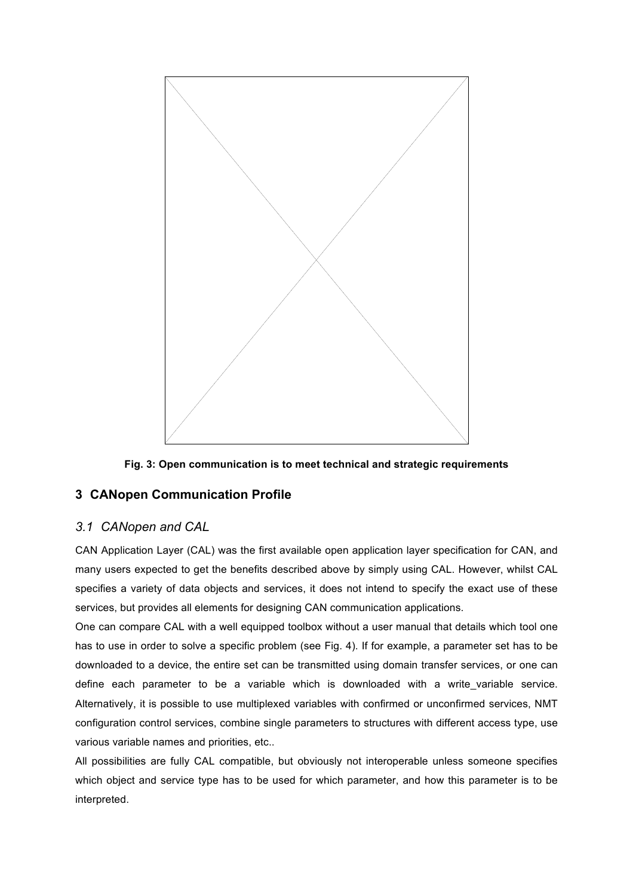



# **3 CANopen Communication Profile**

# *3.1 CANopen and CAL*

CAN Application Layer (CAL) was the first available open application layer specification for CAN, and many users expected to get the benefits described above by simply using CAL. However, whilst CAL specifies a variety of data objects and services, it does not intend to specify the exact use of these services, but provides all elements for designing CAN communication applications.

One can compare CAL with a well equipped toolbox without a user manual that details which tool one has to use in order to solve a specific problem (see Fig. 4). If for example, a parameter set has to be downloaded to a device, the entire set can be transmitted using domain transfer services, or one can define each parameter to be a variable which is downloaded with a write variable service. Alternatively, it is possible to use multiplexed variables with confirmed or unconfirmed services, NMT configuration control services, combine single parameters to structures with different access type, use various variable names and priorities, etc..

All possibilities are fully CAL compatible, but obviously not interoperable unless someone specifies which object and service type has to be used for which parameter, and how this parameter is to be interpreted.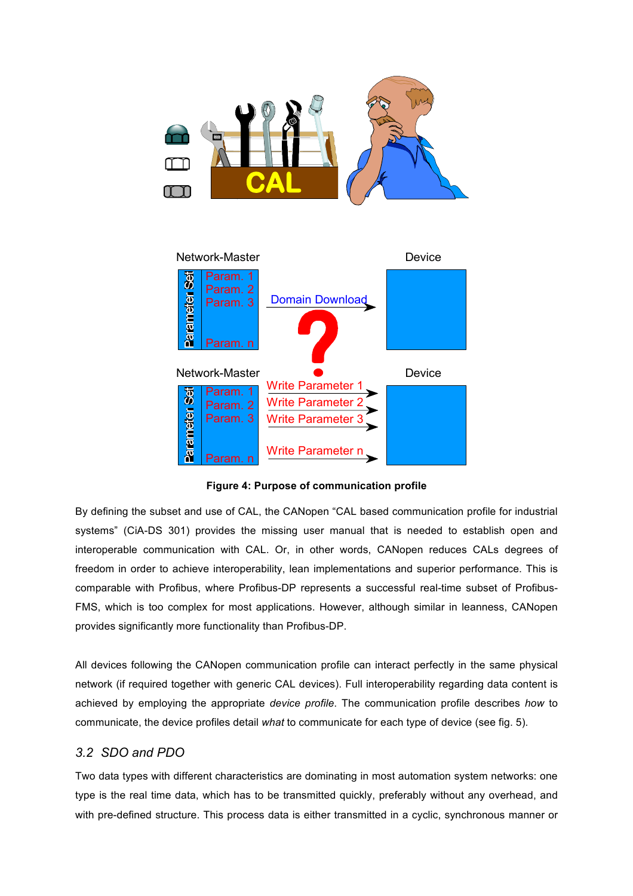



**Figure 4: Purpose of communication profile** 

By defining the subset and use of CAL, the CANopen "CAL based communication profile for industrial systems" (CiA-DS 301) provides the missing user manual that is needed to establish open and interoperable communication with CAL. Or, in other words, CANopen reduces CALs degrees of freedom in order to achieve interoperability, lean implementations and superior performance. This is comparable with Profibus, where Profibus-DP represents a successful real-time subset of Profibus-FMS, which is too complex for most applications. However, although similar in leanness, CANopen provides significantly more functionality than Profibus-DP.

All devices following the CANopen communication profile can interact perfectly in the same physical network (if required together with generic CAL devices). Full interoperability regarding data content is achieved by employing the appropriate *device profile*. The communication profile describes *how* to communicate, the device profiles detail *what* to communicate for each type of device (see fig. 5).

# *3.2 SDO and PDO*

Two data types with different characteristics are dominating in most automation system networks: one type is the real time data, which has to be transmitted quickly, preferably without any overhead, and with pre-defined structure. This process data is either transmitted in a cyclic, synchronous manner or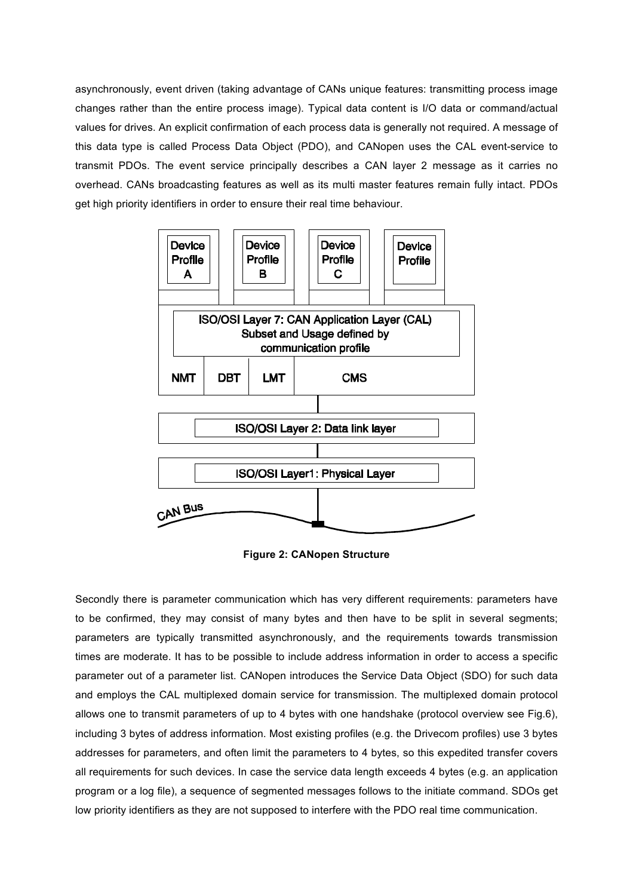asynchronously, event driven (taking advantage of CANs unique features: transmitting process image changes rather than the entire process image). Typical data content is I/O data or command/actual values for drives. An explicit confirmation of each process data is generally not required. A message of this data type is called Process Data Object (PDO), and CANopen uses the CAL event-service to transmit PDOs. The event service principally describes a CAN layer 2 message as it carries no overhead. CANs broadcasting features as well as its multi master features remain fully intact. PDOs get high priority identifiers in order to ensure their real time behaviour.



**Figure 2: CANopen Structure** 

Secondly there is parameter communication which has very different requirements: parameters have to be confirmed, they may consist of many bytes and then have to be split in several segments; parameters are typically transmitted asynchronously, and the requirements towards transmission times are moderate. It has to be possible to include address information in order to access a specific parameter out of a parameter list. CANopen introduces the Service Data Object (SDO) for such data and employs the CAL multiplexed domain service for transmission. The multiplexed domain protocol allows one to transmit parameters of up to 4 bytes with one handshake (protocol overview see Fig.6), including 3 bytes of address information. Most existing profiles (e.g. the Drivecom profiles) use 3 bytes addresses for parameters, and often limit the parameters to 4 bytes, so this expedited transfer covers all requirements for such devices. In case the service data length exceeds 4 bytes (e.g. an application program or a log file), a sequence of segmented messages follows to the initiate command. SDOs get low priority identifiers as they are not supposed to interfere with the PDO real time communication.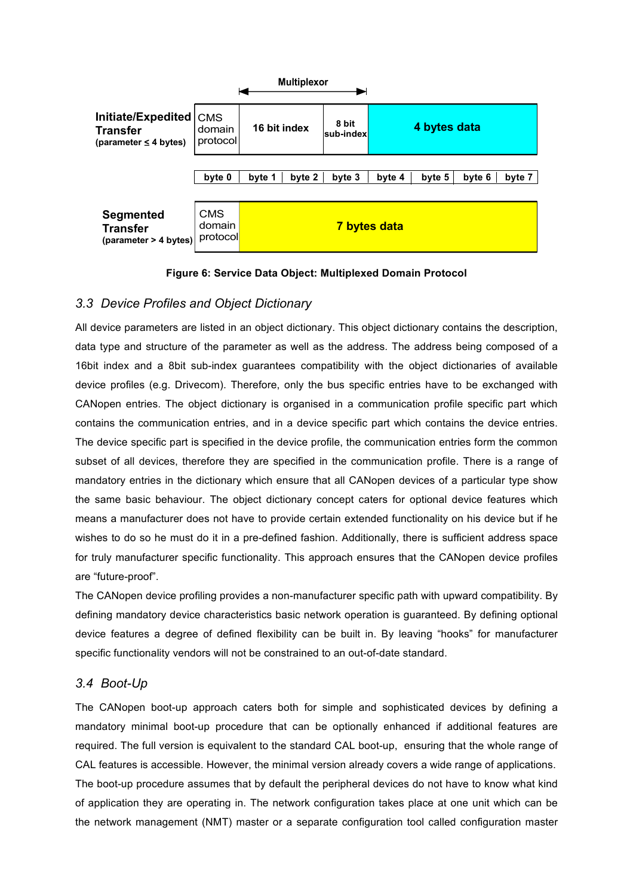

**Figure 6: Service Data Object: Multiplexed Domain Protocol**

# *3.3 Device Profiles and Object Dictionary*

All device parameters are listed in an object dictionary. This object dictionary contains the description, data type and structure of the parameter as well as the address. The address being composed of a 16bit index and a 8bit sub-index guarantees compatibility with the object dictionaries of available device profiles (e.g. Drivecom). Therefore, only the bus specific entries have to be exchanged with CANopen entries. The object dictionary is organised in a communication profile specific part which contains the communication entries, and in a device specific part which contains the device entries. The device specific part is specified in the device profile, the communication entries form the common subset of all devices, therefore they are specified in the communication profile. There is a range of mandatory entries in the dictionary which ensure that all CANopen devices of a particular type show the same basic behaviour. The object dictionary concept caters for optional device features which means a manufacturer does not have to provide certain extended functionality on his device but if he wishes to do so he must do it in a pre-defined fashion. Additionally, there is sufficient address space for truly manufacturer specific functionality. This approach ensures that the CANopen device profiles are "future-proof".

The CANopen device profiling provides a non-manufacturer specific path with upward compatibility. By defining mandatory device characteristics basic network operation is guaranteed. By defining optional device features a degree of defined flexibility can be built in. By leaving "hooks" for manufacturer specific functionality vendors will not be constrained to an out-of-date standard.

# *3.4 Boot-Up*

The CANopen boot-up approach caters both for simple and sophisticated devices by defining a mandatory minimal boot-up procedure that can be optionally enhanced if additional features are required. The full version is equivalent to the standard CAL boot-up, ensuring that the whole range of CAL features is accessible. However, the minimal version already covers a wide range of applications. The boot-up procedure assumes that by default the peripheral devices do not have to know what kind of application they are operating in. The network configuration takes place at one unit which can be the network management (NMT) master or a separate configuration tool called configuration master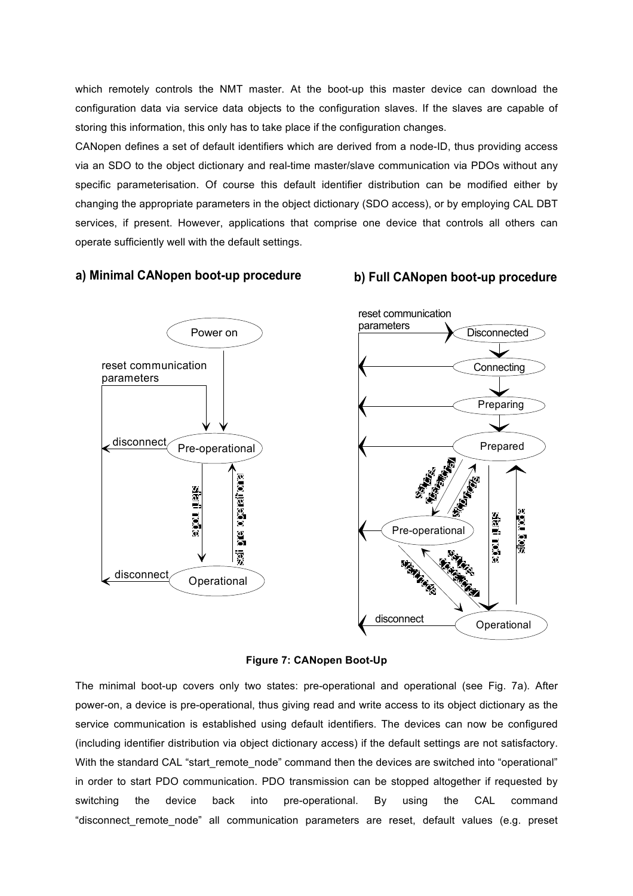which remotely controls the NMT master. At the boot-up this master device can download the configuration data via service data objects to the configuration slaves. If the slaves are capable of storing this information, this only has to take place if the configuration changes.

CANopen defines a set of default identifiers which are derived from a node-ID, thus providing access via an SDO to the object dictionary and real-time master/slave communication via PDOs without any specific parameterisation. Of course this default identifier distribution can be modified either by changing the appropriate parameters in the object dictionary (SDO access), or by employing CAL DBT services, if present. However, applications that comprise one device that controls all others can operate sufficiently well with the default settings.

#### **a) Minimal CANopen boot-up procedure b) Full CANopen boot-up procedure**







The minimal boot-up covers only two states: pre-operational and operational (see Fig. 7a). After power-on, a device is pre-operational, thus giving read and write access to its object dictionary as the service communication is established using default identifiers. The devices can now be configured (including identifier distribution via object dictionary access) if the default settings are not satisfactory. With the standard CAL "start remote node" command then the devices are switched into "operational" in order to start PDO communication. PDO transmission can be stopped altogether if requested by switching the device back into pre-operational. By using the CAL command "disconnect remote node" all communication parameters are reset, default values (e.g. preset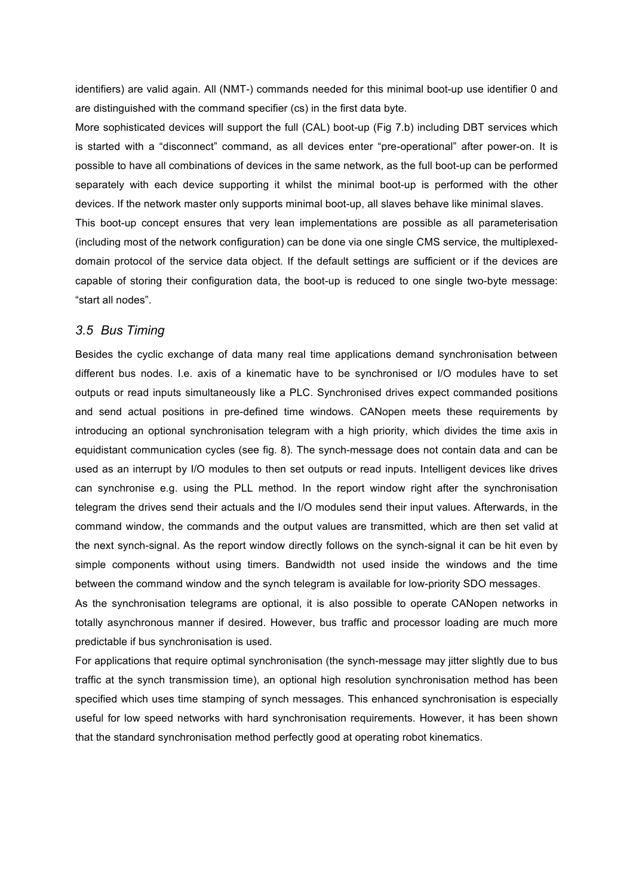identifiers) are valid again. All (NMT-) commands needed for this minimal boot-up use identifier 0 and are distinguished with the command specifier (cs) in the first data byte.

More sophisticated devices will support the full (CAL) boot-up (Fig 7.b) including DBT services which is started with a "disconnect" command, as all devices enter "pre-operational" after power-on. It is possible to have all combinations of devices in the same network, as the full boot-up can be performed separately with each device supporting it whilst the minimal boot-up is performed with the other devices. If the network master only supports minimal boot-up, all slaves behave like minimal slaves.

This boot-up concept ensures that very lean implementations are possible as all parameterisation (including most of the network configuration) can be done via one single CMS service, the multiplexeddomain protocol of the service data object. If the default settings are sufficient or if the devices are capable of storing their configuration data, the boot-up is reduced to one single two-byte message: "start all nodes".

#### *3.5 Bus Timing*

Besides the cyclic exchange of data many real time applications demand synchronisation between different bus nodes. I.e. axis of a kinematic have to be synchronised or I/O modules have to set outputs or read inputs simultaneously like a PLC. Synchronised drives expect commanded positions and send actual positions in pre-defined time windows. CANopen meets these requirements by introducing an optional synchronisation telegram with a high priority, which divides the time axis in equidistant communication cycles (see fig. 8). The synch-message does not contain data and can be used as an interrupt by I/O modules to then set outputs or read inputs. Intelligent devices like drives can synchronise e.g. using the PLL method. In the report window right after the synchronisation telegram the drives send their actuals and the I/O modules send their input values. Afterwards, in the command window, the commands and the output values are transmitted, which are then set valid at the next synch-signal. As the report window directly follows on the synch-signal it can be hit even by simple components without using timers. Bandwidth not used inside the windows and the time between the command window and the synch telegram is available for low-priority SDO messages.

As the synchronisation telegrams are optional, it is also possible to operate CANopen networks in totally asynchronous manner if desired. However, bus traffic and processor loading are much more predictable if bus synchronisation is used.

For applications that require optimal synchronisation (the synch-message may jitter slightly due to bus traffic at the synch transmission time), an optional high resolution synchronisation method has been specified which uses time stamping of synch messages. This enhanced synchronisation is especially useful for low speed networks with hard synchronisation requirements. However, it has been shown that the standard synchronisation method perfectly good at operating robot kinematics.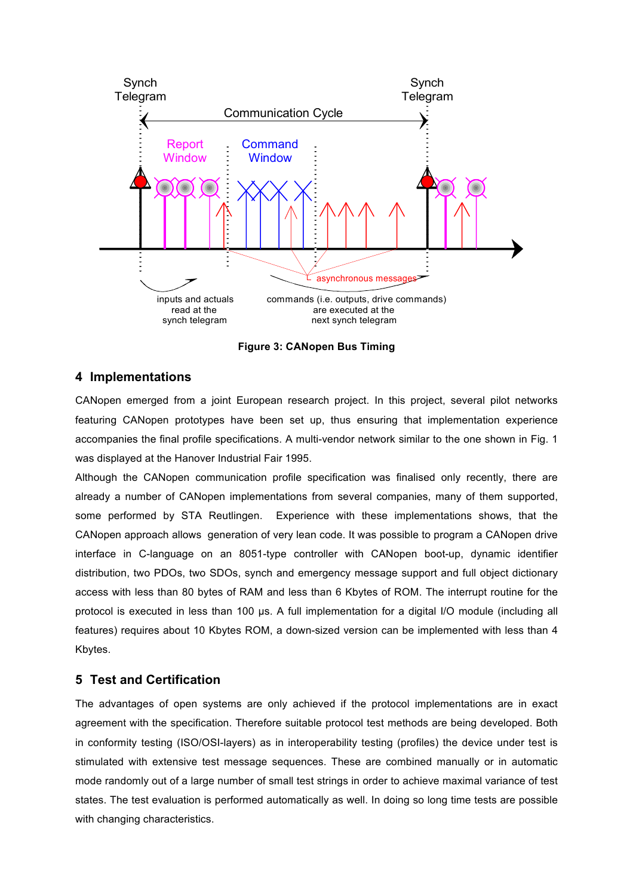

**Figure 3: CANopen Bus Timing**

#### **4 Implementations**

CANopen emerged from a joint European research project. In this project, several pilot networks featuring CANopen prototypes have been set up, thus ensuring that implementation experience accompanies the final profile specifications. A multi-vendor network similar to the one shown in Fig. 1 was displayed at the Hanover Industrial Fair 1995.

Although the CANopen communication profile specification was finalised only recently, there are already a number of CANopen implementations from several companies, many of them supported, some performed by STA Reutlingen. Experience with these implementations shows, that the CANopen approach allows generation of very lean code. It was possible to program a CANopen drive interface in C-language on an 8051-type controller with CANopen boot-up, dynamic identifier distribution, two PDOs, two SDOs, synch and emergency message support and full object dictionary access with less than 80 bytes of RAM and less than 6 Kbytes of ROM. The interrupt routine for the protocol is executed in less than 100 µs. A full implementation for a digital I/O module (including all features) requires about 10 Kbytes ROM, a down-sized version can be implemented with less than 4 Kbytes.

# **5 Test and Certification**

The advantages of open systems are only achieved if the protocol implementations are in exact agreement with the specification. Therefore suitable protocol test methods are being developed. Both in conformity testing (ISO/OSI-layers) as in interoperability testing (profiles) the device under test is stimulated with extensive test message sequences. These are combined manually or in automatic mode randomly out of a large number of small test strings in order to achieve maximal variance of test states. The test evaluation is performed automatically as well. In doing so long time tests are possible with changing characteristics.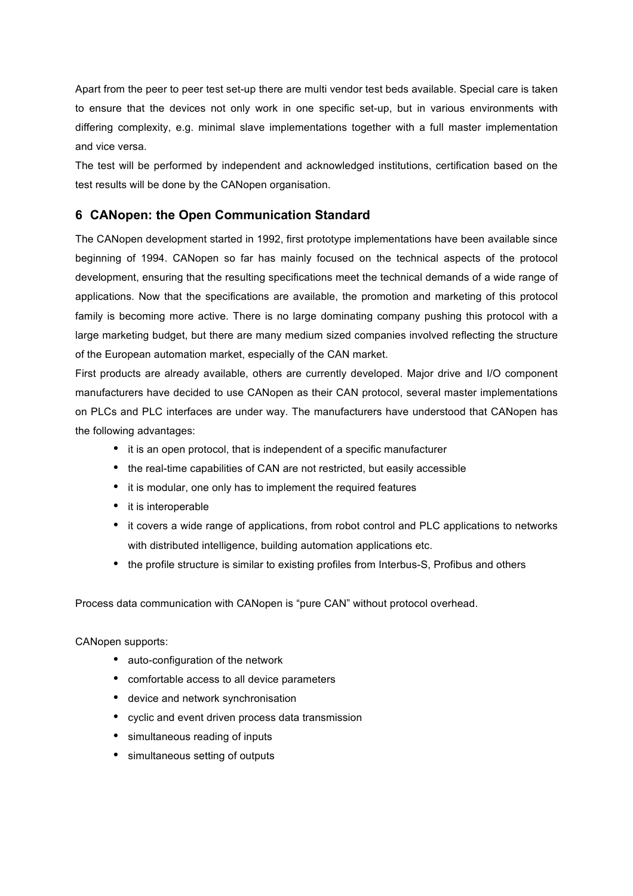Apart from the peer to peer test set-up there are multi vendor test beds available. Special care is taken to ensure that the devices not only work in one specific set-up, but in various environments with differing complexity, e.g. minimal slave implementations together with a full master implementation and vice versa.

The test will be performed by independent and acknowledged institutions, certification based on the test results will be done by the CANopen organisation.

#### **6 CANopen: the Open Communication Standard**

The CANopen development started in 1992, first prototype implementations have been available since beginning of 1994. CANopen so far has mainly focused on the technical aspects of the protocol development, ensuring that the resulting specifications meet the technical demands of a wide range of applications. Now that the specifications are available, the promotion and marketing of this protocol family is becoming more active. There is no large dominating company pushing this protocol with a large marketing budget, but there are many medium sized companies involved reflecting the structure of the European automation market, especially of the CAN market.

First products are already available, others are currently developed. Major drive and I/O component manufacturers have decided to use CANopen as their CAN protocol, several master implementations on PLCs and PLC interfaces are under way. The manufacturers have understood that CANopen has the following advantages:

- it is an open protocol, that is independent of a specific manufacturer
- the real-time capabilities of CAN are not restricted, but easily accessible
- it is modular, one only has to implement the required features
- it is interoperable
- it covers a wide range of applications, from robot control and PLC applications to networks with distributed intelligence, building automation applications etc.
- the profile structure is similar to existing profiles from Interbus-S, Profibus and others

Process data communication with CANopen is "pure CAN" without protocol overhead.

CANopen supports:

- auto-configuration of the network
- comfortable access to all device parameters
- device and network synchronisation
- cyclic and event driven process data transmission
- simultaneous reading of inputs
- simultaneous setting of outputs